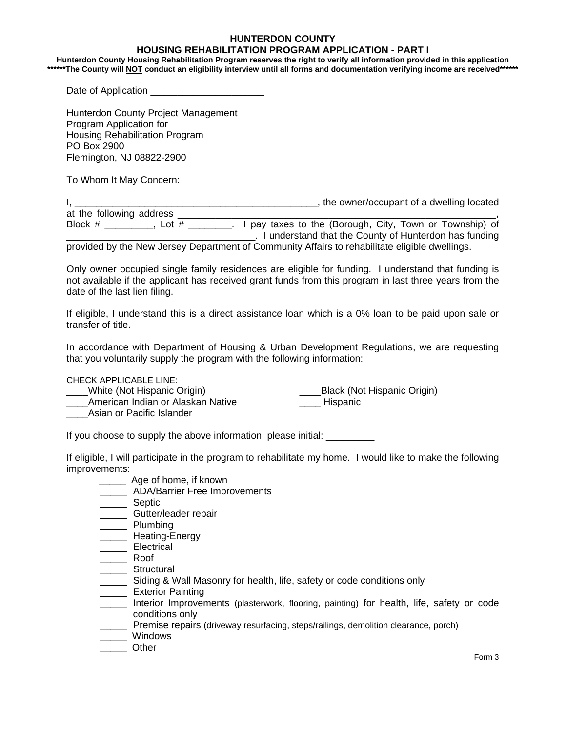#### **HUNTERDON COUNTY**

#### **HOUSING REHABILITATION PROGRAM APPLICATION - PART I**

**Hunterdon County Housing Rehabilitation Program reserves the right to verify all information provided in this application \*\*\*\*\*\*The County will NOT conduct an eligibility interview until all forms and documentation verifying income are received\*\*\*\*\*\*** 

Date of Application \_\_\_\_\_\_\_\_\_\_\_\_\_\_\_\_\_\_\_\_\_

Hunterdon County Project Management Program Application for Housing Rehabilitation Program PO Box 2900 Flemington, NJ 08822-2900

To Whom It May Concern:

I, \_\_\_\_\_\_\_\_\_\_\_\_\_\_\_\_\_\_\_\_\_\_\_\_\_\_\_\_\_\_\_\_\_\_\_\_\_\_\_\_\_\_\_\_\_, the owner/occupant of a dwelling located at the following address \_\_\_\_\_\_\_\_\_\_\_\_\_\_\_\_\_\_\_\_\_\_\_\_\_\_\_\_\_\_\_\_\_\_\_\_\_\_\_\_\_\_\_\_\_\_\_\_\_\_\_\_\_\_\_\_\_\_\_, Block # \_\_\_\_\_\_\_\_, Lot # \_\_\_\_\_\_\_. I pay taxes to the (Borough, City, Town or Township) of

\_\_\_\_\_\_\_\_\_\_\_\_\_\_\_\_\_\_\_\_\_\_\_\_\_\_\_\_\_\_\_\_\_\_\_. I understand that the County of Hunterdon has funding provided by the New Jersey Department of Community Affairs to rehabilitate eligible dwellings.

Only owner occupied single family residences are eligible for funding. I understand that funding is not available if the applicant has received grant funds from this program in last three years from the date of the last lien filing.

If eligible, I understand this is a direct assistance loan which is a 0% loan to be paid upon sale or transfer of title.

In accordance with Department of Housing & Urban Development Regulations, we are requesting that you voluntarily supply the program with the following information:

CHECK APPLICABLE LINE:

\_\_White (Not Hispanic Origin) \_\_\_\_\_\_\_\_\_\_\_\_\_\_\_\_\_\_\_\_\_\_\_\_\_\_\_\_\_\_Black (Not Hispanic Origin) \_\_\_\_American Indian or Alaskan Native \_\_\_\_ Hispanic

\_\_\_\_Asian or Pacific Islander

If you choose to supply the above information, please initial:

If eligible, I will participate in the program to rehabilitate my home. I would like to make the following improvements:

- \_\_\_\_\_ Age of home, if known
- \_\_\_\_\_\_ ADA/Barrier Free Improvements
- \_\_\_\_\_ Septic
- \_\_\_\_\_ Gutter/leader repair
- \_\_\_\_\_ Plumbing
- \_\_\_\_\_\_ Heating-Energy
- \_\_\_\_\_ Electrical
- \_\_\_\_\_ Roof
- \_\_\_\_\_ Structural
- \_\_\_\_\_ Siding & Wall Masonry for health, life, safety or code conditions only
- **Exterior Painting**
- \_\_\_\_\_ Interior Improvements (plasterwork, flooring, painting) for health, life, safety or code conditions only
- \_\_\_\_\_ Premise repairs (driveway resurfacing, steps/railings, demolition clearance, porch)
- \_\_\_\_\_ Windows
- \_\_\_\_\_ Other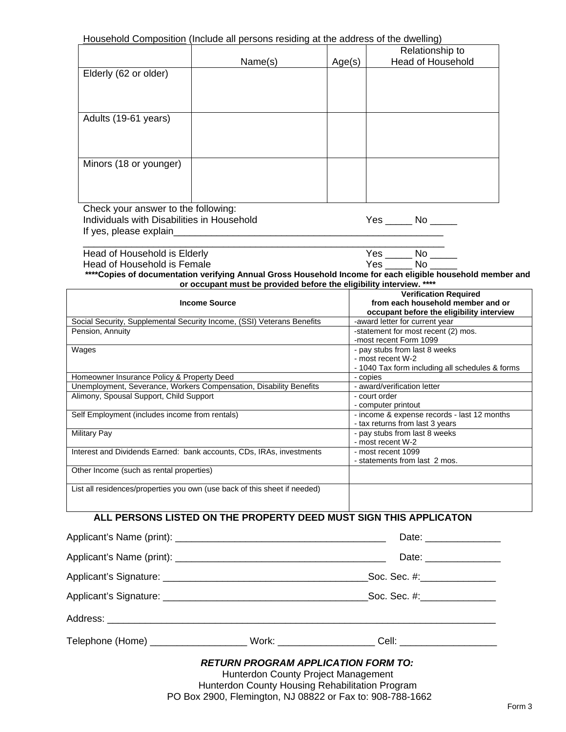|  | Household Composition (Include all persons residing at the address of the dwelling) |  |
|--|-------------------------------------------------------------------------------------|--|
|  |                                                                                     |  |

|                                                                                   | Name(s)                                                                                                      | Age(s) | Relationship to<br><b>Head of Household</b>                                                                                                      |
|-----------------------------------------------------------------------------------|--------------------------------------------------------------------------------------------------------------|--------|--------------------------------------------------------------------------------------------------------------------------------------------------|
| Elderly (62 or older)                                                             |                                                                                                              |        |                                                                                                                                                  |
|                                                                                   |                                                                                                              |        |                                                                                                                                                  |
| Adults (19-61 years)                                                              |                                                                                                              |        |                                                                                                                                                  |
|                                                                                   |                                                                                                              |        |                                                                                                                                                  |
| Minors (18 or younger)                                                            |                                                                                                              |        |                                                                                                                                                  |
|                                                                                   |                                                                                                              |        |                                                                                                                                                  |
| Check your answer to the following:<br>Individuals with Disabilities in Household |                                                                                                              |        | $Yes$ No $\_\_\_\_\$                                                                                                                             |
| Head of Household is Elderly                                                      |                                                                                                              |        | $Yes$ No $\_\_$                                                                                                                                  |
| Head of Household is Female                                                       |                                                                                                              |        | $Yes$ No $\overline{\phantom{a}}$<br>**** Copies of documentation verifying Annual Gross Household Income for each eligible household member and |
|                                                                                   | or occupant must be provided before the eligibility interview. ****<br><b>Income Source</b>                  |        | <b>Verification Required</b><br>from each household member and or<br>occupant before the eligibility interview                                   |
|                                                                                   | Social Security, Supplemental Security Income, (SSI) Veterans Benefits                                       |        | -award letter for current year                                                                                                                   |
| Pension, Annuity                                                                  |                                                                                                              |        | -statement for most recent (2) mos.<br>-most recent Form 1099                                                                                    |
| Wages                                                                             |                                                                                                              |        | - pay stubs from last 8 weeks<br>- most recent W-2<br>- 1040 Tax form including all schedules & forms                                            |
| Homeowner Insurance Policy & Property Deed                                        |                                                                                                              |        | - copies                                                                                                                                         |
| Alimony, Spousal Support, Child Support                                           | Unemployment, Severance, Workers Compensation, Disability Benefits                                           |        | - award/verification letter<br>- court order<br>- computer printout                                                                              |
| Self Employment (includes income from rentals)                                    |                                                                                                              |        | - income & expense records - last 12 months<br>- tax returns from last 3 years                                                                   |
| <b>Military Pay</b>                                                               |                                                                                                              |        | - pay stubs from last 8 weeks<br>- most recent W-2                                                                                               |
|                                                                                   | Interest and Dividends Earned: bank accounts, CDs, IRAs, investments                                         |        | - most recent 1099<br>- statements from last 2 mos.                                                                                              |
| Other Income (such as rental properties)                                          |                                                                                                              |        |                                                                                                                                                  |
|                                                                                   | List all residences/properties you own (use back of this sheet if needed)                                    |        |                                                                                                                                                  |
|                                                                                   | ALL PERSONS LISTED ON THE PROPERTY DEED MUST SIGN THIS APPLICATON                                            |        |                                                                                                                                                  |
|                                                                                   |                                                                                                              |        | Date: ________________                                                                                                                           |
|                                                                                   |                                                                                                              |        | Date: ___________________                                                                                                                        |
|                                                                                   |                                                                                                              |        |                                                                                                                                                  |
|                                                                                   |                                                                                                              |        |                                                                                                                                                  |
|                                                                                   |                                                                                                              |        |                                                                                                                                                  |
|                                                                                   |                                                                                                              |        | Telephone (Home) _______________________Work: ______________________Cell: _________________________                                              |
|                                                                                   | <b>RETURN PROGRAM APPLICATION FORM TO:</b><br>Hunterdon County Project Management                            |        |                                                                                                                                                  |
|                                                                                   | Hunterdon County Housing Rehabilitation Program<br>PO Box 2900, Flemington, NJ 08822 or Fax to: 908-788-1662 |        |                                                                                                                                                  |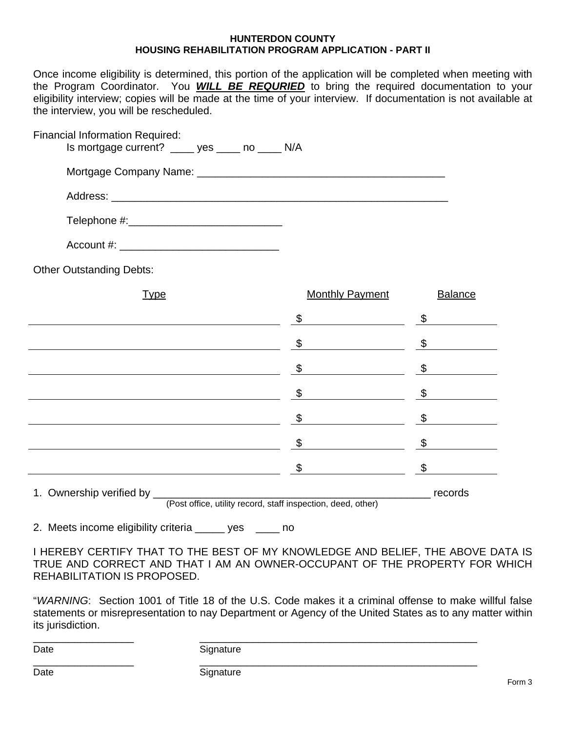#### **HUNTERDON COUNTY HOUSING REHABILITATION PROGRAM APPLICATION - PART II**

| Once income eligibility is determined, this portion of the application will be completed when meeting with<br>the Program Coordinator. You <b>WILL BE REQURIED</b> to bring the required documentation to your<br>eligibility interview; copies will be made at the time of your interview. If documentation is not available at<br>the interview, you will be rescheduled. |                                                                                                                                                                                                                                                                                                                                                                                                                                                                                            |                |
|-----------------------------------------------------------------------------------------------------------------------------------------------------------------------------------------------------------------------------------------------------------------------------------------------------------------------------------------------------------------------------|--------------------------------------------------------------------------------------------------------------------------------------------------------------------------------------------------------------------------------------------------------------------------------------------------------------------------------------------------------------------------------------------------------------------------------------------------------------------------------------------|----------------|
| <b>Financial Information Required:</b><br>Is mortgage current? ____ yes ____ no ____ N/A                                                                                                                                                                                                                                                                                    |                                                                                                                                                                                                                                                                                                                                                                                                                                                                                            |                |
|                                                                                                                                                                                                                                                                                                                                                                             |                                                                                                                                                                                                                                                                                                                                                                                                                                                                                            |                |
|                                                                                                                                                                                                                                                                                                                                                                             |                                                                                                                                                                                                                                                                                                                                                                                                                                                                                            |                |
|                                                                                                                                                                                                                                                                                                                                                                             |                                                                                                                                                                                                                                                                                                                                                                                                                                                                                            |                |
|                                                                                                                                                                                                                                                                                                                                                                             |                                                                                                                                                                                                                                                                                                                                                                                                                                                                                            |                |
| <b>Other Outstanding Debts:</b>                                                                                                                                                                                                                                                                                                                                             |                                                                                                                                                                                                                                                                                                                                                                                                                                                                                            |                |
| <b>Type</b>                                                                                                                                                                                                                                                                                                                                                                 | <b>Monthly Payment</b>                                                                                                                                                                                                                                                                                                                                                                                                                                                                     | <b>Balance</b> |
| $\frac{\text{I}}{\text{I}}$ , and the set of the set of the set of the set of the set of the set of the set of the set of the set of the set of the set of the set of the set of the set of the set of the set of the set of the set of th                                                                                                                                  |                                                                                                                                                                                                                                                                                                                                                                                                                                                                                            |                |
| $\frac{\text{I} \text{S}}{\text{I} \text{S}}$                                                                                                                                                                                                                                                                                                                               |                                                                                                                                                                                                                                                                                                                                                                                                                                                                                            |                |
| $\frac{1}{2}$ $\frac{1}{2}$ $\frac{1}{2}$ $\frac{1}{2}$ $\frac{1}{2}$ $\frac{1}{2}$ $\frac{1}{2}$ $\frac{1}{2}$ $\frac{1}{2}$ $\frac{1}{2}$ $\frac{1}{2}$ $\frac{1}{2}$ $\frac{1}{2}$ $\frac{1}{2}$ $\frac{1}{2}$ $\frac{1}{2}$ $\frac{1}{2}$ $\frac{1}{2}$ $\frac{1}{2}$ $\frac{1}{2}$ $\frac{1}{2}$ $\frac{1}{2}$                                                         |                                                                                                                                                                                                                                                                                                                                                                                                                                                                                            |                |
| <u> 2008 - Andrea Britain, amerikan personal (h. 1878).</u>                                                                                                                                                                                                                                                                                                                 | $\frac{\text{I} \cdot \text{I} \cdot \text{I} \cdot \text{I}}{\text{I} \cdot \text{I} \cdot \text{I} \cdot \text{I} \cdot \text{I} \cdot \text{I} \cdot \text{I} \cdot \text{I} \cdot \text{I} \cdot \text{I} \cdot \text{I} \cdot \text{I} \cdot \text{I} \cdot \text{I} \cdot \text{I} \cdot \text{I} \cdot \text{I} \cdot \text{I} \cdot \text{I} \cdot \text{I} \cdot \text{I} \cdot \text{I} \cdot \text{I} \cdot \text{I} \cdot \text{I} \cdot \text{I} \cdot \text{I} \cdot \text{$ |                |
| <u> 1980 - Johann Barbara, martin amerikan basar dan berasal dalam basar dalam basar dalam basar dalam basar dala</u>                                                                                                                                                                                                                                                       | $\frac{\text{I} \cdot \text{I} \cdot \text{I} \cdot \text{I}}{\text{I} \cdot \text{I} \cdot \text{I} \cdot \text{I} \cdot \text{I} \cdot \text{I} \cdot \text{I} \cdot \text{I} \cdot \text{I} \cdot \text{I} \cdot \text{I} \cdot \text{I} \cdot \text{I} \cdot \text{I} \cdot \text{I} \cdot \text{I} \cdot \text{I} \cdot \text{I} \cdot \text{I} \cdot \text{I} \cdot \text{I} \cdot \text{I} \cdot \text{I} \cdot \text{I} \cdot \text{I} \cdot \text{I} \cdot \text{I} \cdot \text{$ |                |
| $\frac{\$}{\$}$                                                                                                                                                                                                                                                                                                                                                             |                                                                                                                                                                                                                                                                                                                                                                                                                                                                                            |                |
| $\frac{\text{I} \text{S}}{\text{I} \text{S}}$                                                                                                                                                                                                                                                                                                                               |                                                                                                                                                                                                                                                                                                                                                                                                                                                                                            |                |
|                                                                                                                                                                                                                                                                                                                                                                             |                                                                                                                                                                                                                                                                                                                                                                                                                                                                                            |                |

2. Meets income eligibility criteria \_\_\_\_\_ yes \_\_\_\_ no

I HEREBY CERTIFY THAT TO THE BEST OF MY KNOWLEDGE AND BELIEF, THE ABOVE DATA IS TRUE AND CORRECT AND THAT I AM AN OWNER-OCCUPANT OF THE PROPERTY FOR WHICH REHABILITATION IS PROPOSED.

"*WARNING*: Section 1001 of Title 18 of the U.S. Code makes it a criminal offense to make willful false statements or misrepresentation to nay Department or Agency of the United States as to any matter within its jurisdiction.

\_\_\_\_\_\_\_\_\_\_\_\_\_\_\_\_\_ \_\_\_\_\_\_\_\_\_\_\_\_\_\_\_\_\_\_\_\_\_\_\_\_\_\_\_\_\_\_\_\_\_\_\_\_\_\_\_\_\_\_\_\_\_\_\_

Date Signature

\_\_\_\_\_\_\_\_\_\_\_\_\_\_\_\_\_ \_\_\_\_\_\_\_\_\_\_\_\_\_\_\_\_\_\_\_\_\_\_\_\_\_\_\_\_\_\_\_\_\_\_\_\_\_\_\_\_\_\_\_\_\_\_\_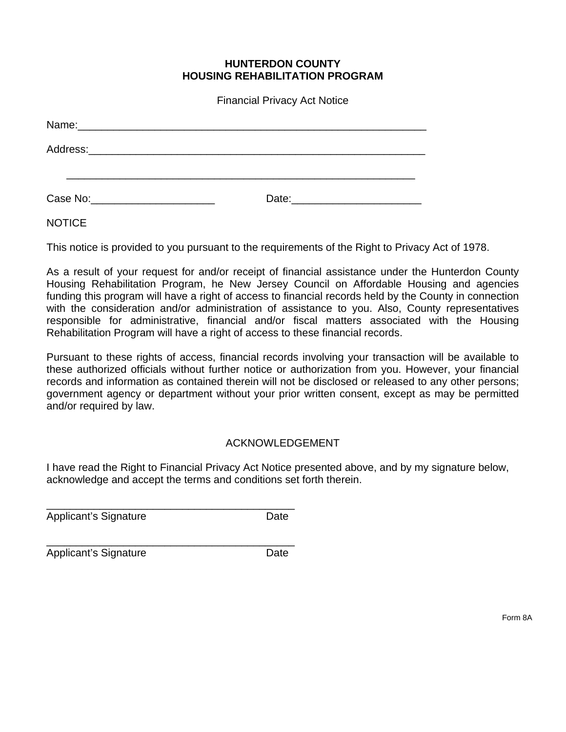Financial Privacy Act Notice

| Case No: The Case No. | Date: |  |
|-----------------------|-------|--|

**NOTICE** 

This notice is provided to you pursuant to the requirements of the Right to Privacy Act of 1978.

As a result of your request for and/or receipt of financial assistance under the Hunterdon County Housing Rehabilitation Program, he New Jersey Council on Affordable Housing and agencies funding this program will have a right of access to financial records held by the County in connection with the consideration and/or administration of assistance to you. Also, County representatives responsible for administrative, financial and/or fiscal matters associated with the Housing Rehabilitation Program will have a right of access to these financial records.

Pursuant to these rights of access, financial records involving your transaction will be available to these authorized officials without further notice or authorization from you. However, your financial records and information as contained therein will not be disclosed or released to any other persons; government agency or department without your prior written consent, except as may be permitted and/or required by law.

### ACKNOWLEDGEMENT

I have read the Right to Financial Privacy Act Notice presented above, and by my signature below, acknowledge and accept the terms and conditions set forth therein.

\_\_\_\_\_\_\_\_\_\_\_\_\_\_\_\_\_\_\_\_\_\_\_\_\_\_\_\_\_\_\_\_\_\_\_\_\_\_\_\_\_\_ Applicant's Signature Date

\_\_\_\_\_\_\_\_\_\_\_\_\_\_\_\_\_\_\_\_\_\_\_\_\_\_\_\_\_\_\_\_\_\_\_\_\_\_\_\_\_\_ Applicant's Signature Date

Form 8A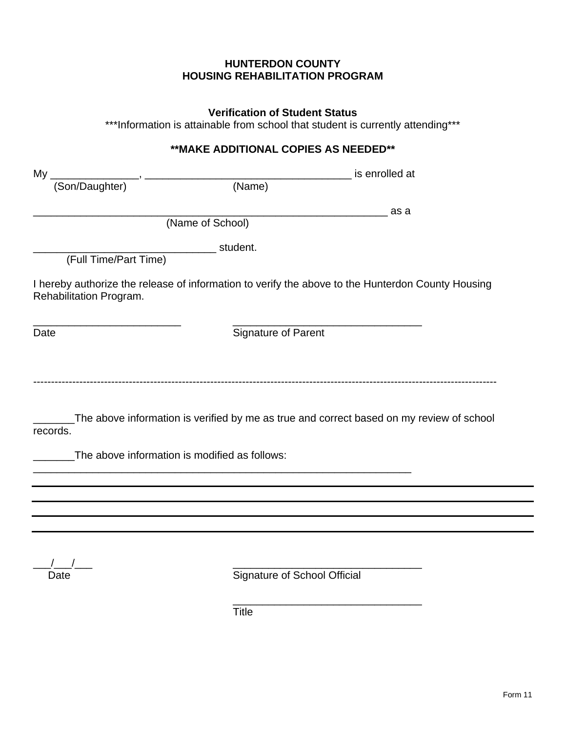# **Verification of Student Status**

\*\*\*Information is attainable from school that student is currently attending\*\*\*

# **\*\*MAKE ADDITIONAL COPIES AS NEEDED\*\***

| $My_$                   | is enrolled at<br><u> 1989 - Johann Barn, mars ann an t-Amhain an t-Amhain an t-Amhain an t-Amhain an t-Amhain an t-Amhain an t-Amh</u> |                                                                                                   |
|-------------------------|-----------------------------------------------------------------------------------------------------------------------------------------|---------------------------------------------------------------------------------------------------|
| (Son/Daughter)          | (Name)                                                                                                                                  |                                                                                                   |
|                         |                                                                                                                                         | as a                                                                                              |
|                         | (Name of School)                                                                                                                        |                                                                                                   |
|                         | student.                                                                                                                                |                                                                                                   |
| (Full Time/Part Time)   |                                                                                                                                         |                                                                                                   |
| Rehabilitation Program. |                                                                                                                                         | I hereby authorize the release of information to verify the above to the Hunterdon County Housing |
| Date                    | Signature of Parent                                                                                                                     |                                                                                                   |
| records.                | The above information is modified as follows:                                                                                           | The above information is verified by me as true and correct based on my review of school          |
|                         |                                                                                                                                         |                                                                                                   |
|                         |                                                                                                                                         |                                                                                                   |
|                         |                                                                                                                                         |                                                                                                   |

Date **Signature of School Official** 

**Title The Community of Title** 

 $\overline{\phantom{a}}$  , and the contract of the contract of the contract of the contract of the contract of the contract of the contract of the contract of the contract of the contract of the contract of the contract of the contrac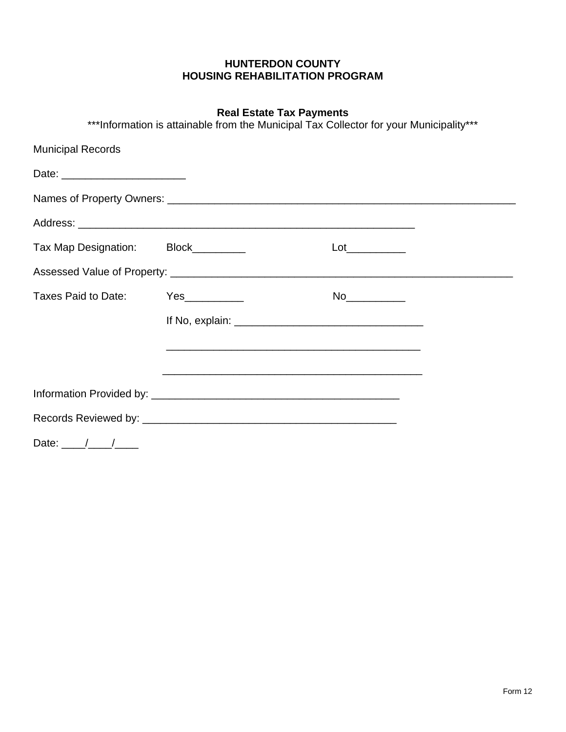# **Real Estate Tax Payments**

\*\*\*Information is attainable from the Municipal Tax Collector for your Municipality\*\*\*

| <b>Municipal Records</b>               |  |  |
|----------------------------------------|--|--|
|                                        |  |  |
|                                        |  |  |
|                                        |  |  |
| Tax Map Designation: Block________     |  |  |
|                                        |  |  |
| Taxes Paid to Date: Yes                |  |  |
|                                        |  |  |
|                                        |  |  |
|                                        |  |  |
|                                        |  |  |
|                                        |  |  |
| Date: $\frac{1}{\sqrt{1-\frac{1}{2}}}$ |  |  |